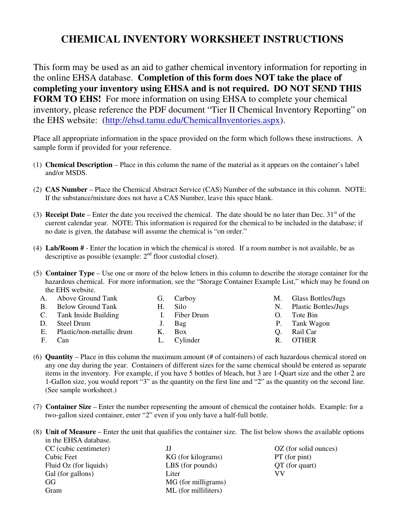# **CHEMICAL INVENTORY WORKSHEET INSTRUCTIONS**

This form may be used as an aid to gather chemical inventory information for reporting in the online EHSA database. **Completion of this form does NOT take the place of completing your inventory using EHSA and is not required. DO NOT SEND THIS FORM TO EHS!** For more information on using EHSA to complete your chemical inventory, please reference the PDF document "Tier II Chemical Inventory Reporting" on the EHS website: (http://ehsd.tamu.edu/ChemicalInventories.aspx).

Place all appropriate information in the space provided on the form which follows these instructions. A sample form if provided for your reference.

- (1) **Chemical Description** Place in this column the name of the material as it appears on the container's label and/or MSDS.
- (2) **CAS Number** Place the Chemical Abstract Service (CAS) Number of the substance in this column. NOTE: If the substance/mixture does not have a CAS Number, leave this space blank.
- (3) **Receipt Date** Enter the date you received the chemical. The date should be no later than Dec.  $31<sup>st</sup>$  of the current calendar year. NOTE: This information is required for the chemical to be included in the database; if no date is given, the database will assume the chemical is "on order."
- (4) **Lab/Room #** Enter the location in which the chemical is stored. If a room number is not available, be as descriptive as possible (example:  $2<sup>nd</sup>$  floor custodial closet).
- (5) **Container Type**  Use one or more of the below letters in this column to describe the storage container for the hazardous chemical. For more information, see the "Storage Container Example List," which may be found on the EHS website.

|    | Above Ground Tank         |      | G. Carboy   | М. | Glass Bottles/Jugs          |
|----|---------------------------|------|-------------|----|-----------------------------|
|    | <b>Below Ground Tank</b>  | H. I | Silo        | N. | <b>Plastic Bottles/Jugs</b> |
|    | Tank Inside Building      |      | Fiber Drum  |    | Tote Bin                    |
|    | Steel Drum                |      | J. Bag      |    | P. Tank Wagon               |
| Е. | Plastic/non-metallic drum | K.   | <b>Box</b>  |    | Rail Car                    |
| F. | Can                       |      | L. Cylinder | R. | <b>OTHER</b>                |

- (6) **Quantity** Place in this column the maximum amount (# of containers) of each hazardous chemical stored on any one day during the year. Containers of different sizes for the same chemical should be entered as separate items in the inventory. For example, if you have 5 bottles of bleach, but 3 are 1-Quart size and the other 2 are 1-Gallon size, you would report "3" as the quantity on the first line and "2" as the quantity on the second line. (See sample worksheet.)
- (7) **Container Size** Enter the number representing the amount of chemical the container holds. Example: for a two-gallon sized container, enter "2" even if you only have a half-full bottle.

(8) **Unit of Measure** – Enter the unit that qualifies the container size. The list below shows the available options in the EHSA database.

| CC (cubic centimeter)  | IJ                   |
|------------------------|----------------------|
| Cubic Feet             | KG (for kilograms)   |
| Fluid Oz (for liquids) | LBS (for pounds)     |
| Gal (for gallons)      | Liter                |
| GG                     | MG (for milligrams)  |
| Gram                   | ML (for milliliters) |

OZ (for solid ounces) PT (for pint) QT (for quart) VV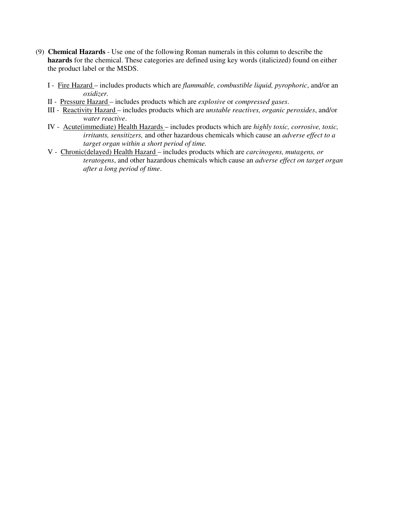- (9) **Chemical Hazards** Use one of the following Roman numerals in this column to describe the **hazards** for the chemical. These categories are defined using key words (italicized) found on either the product label or the MSDS.
	- I Fire Hazard includes products which are *flammable, combustible liquid, pyrophoric*, and/or an *oxidizer.*
	- II Pressure Hazard includes products which are *explosive* or *compressed gases*.
	- III Reactivity Hazard includes products which are *unstable reactives, organic peroxides*, and/or *water reactive*.
	- IV Acute(immediate) Health Hazards includes products which are *highly toxic, corrosive, toxic, irritants, sensitizers,* and other hazardous chemicals which cause an *adverse effect to a target organ within a short period of time.*
	- V Chronic(delayed) Health Hazard includes products which are *carcinogens, mutagens, or teratogens*, and other hazardous chemicals which cause an *adverse effect on target organ after a long period of time*.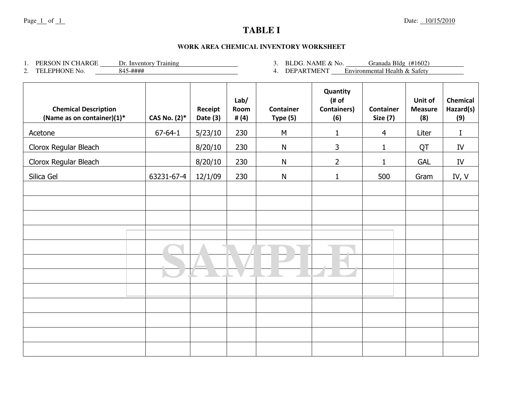## **TABLE I**

#### **WORK AREA CHEMICAL INVENTORY WORKSHEET**

1. PERSON IN CHARGE Dr. Inventory Training

2. TELEPHONE No. 845-####

3. BLDG. NAME & No.  $\qquad$  Granada Bldg (#1602)

4. DEPARTMENT Environmental Health & Safety

| <b>Chemical Description</b><br>(Name as on container)(1)* | CAS No. (2)*  | Receipt<br>Date (3) | Lab/<br>Room<br># $(4)$ | <b>Container</b><br>Type (5) | Quantity<br>(# of)<br><b>Containers)</b><br>(6) | Container<br><b>Size (7)</b> | Unit of<br><b>Measure</b><br>(8) | <b>Chemical</b><br>Hazard(s)<br>(9) |
|-----------------------------------------------------------|---------------|---------------------|-------------------------|------------------------------|-------------------------------------------------|------------------------------|----------------------------------|-------------------------------------|
| Acetone                                                   | $67 - 64 - 1$ | 5/23/10             | 230                     | M                            | 1                                               | 4                            | Liter                            | I                                   |
| Clorox Regular Bleach                                     |               | 8/20/10             | 230                     | N                            | 3                                               | $\mathbf{1}$                 | QT                               | IV                                  |
| Clorox Regular Bleach                                     |               | 8/20/10             | 230                     | N                            | $\overline{2}$                                  | $\mathbf{1}$                 | <b>GAL</b>                       | ${\rm IV}$                          |
| Silica Gel                                                | 63231-67-4    | 12/1/09             | 230                     | $\mathsf{N}$                 | $\mathbf{1}$                                    | 500                          | Gram                             | IV, V                               |
|                                                           |               |                     |                         |                              |                                                 |                              |                                  |                                     |
|                                                           |               |                     |                         |                              |                                                 |                              |                                  |                                     |
|                                                           |               |                     |                         |                              |                                                 |                              |                                  |                                     |
|                                                           |               |                     |                         |                              |                                                 |                              |                                  |                                     |
|                                                           |               |                     |                         |                              |                                                 |                              |                                  |                                     |
|                                                           |               |                     |                         |                              |                                                 |                              |                                  |                                     |
|                                                           |               |                     |                         |                              |                                                 |                              |                                  |                                     |
|                                                           |               |                     |                         |                              |                                                 |                              |                                  |                                     |
|                                                           |               |                     |                         |                              |                                                 |                              |                                  |                                     |
|                                                           |               |                     |                         |                              |                                                 |                              |                                  |                                     |
|                                                           |               |                     |                         |                              |                                                 |                              |                                  |                                     |
|                                                           |               |                     |                         |                              |                                                 |                              |                                  |                                     |
|                                                           |               |                     |                         |                              |                                                 |                              |                                  |                                     |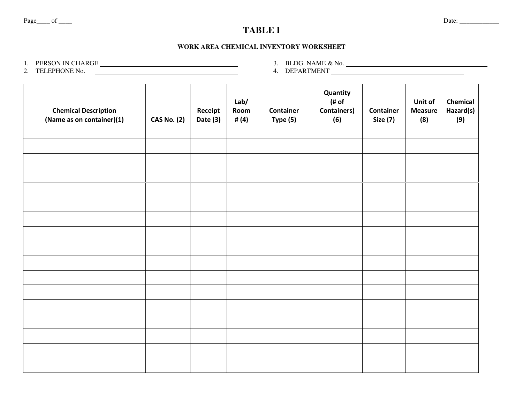## **TABLE I**

#### **WORK AREA CHEMICAL INVENTORY WORKSHEET**

1. PERSON IN CHARGE<br>2. TELEPHONE No. <u> </u>

3. BLDG. NAME & No.<br>4. DEPARTMENT <u>\_\_\_\_\_</u>

| <b>Chemical Description</b><br>(Name as on container)(1) | <b>CAS No. (2)</b> | Receipt<br>Date (3) | Lab/<br>Room<br># $(4)$ | <b>Container</b><br>Type $(5)$ | Quantity<br>$($ # of<br><b>Containers)</b><br>(6) | Container<br><b>Size (7)</b> | Unit of<br><b>Measure</b><br>(8) | Chemical<br>Hazard(s)<br>(9) |
|----------------------------------------------------------|--------------------|---------------------|-------------------------|--------------------------------|---------------------------------------------------|------------------------------|----------------------------------|------------------------------|
|                                                          |                    |                     |                         |                                |                                                   |                              |                                  |                              |
|                                                          |                    |                     |                         |                                |                                                   |                              |                                  |                              |
|                                                          |                    |                     |                         |                                |                                                   |                              |                                  |                              |
|                                                          |                    |                     |                         |                                |                                                   |                              |                                  |                              |
|                                                          |                    |                     |                         |                                |                                                   |                              |                                  |                              |
|                                                          |                    |                     |                         |                                |                                                   |                              |                                  |                              |
|                                                          |                    |                     |                         |                                |                                                   |                              |                                  |                              |
|                                                          |                    |                     |                         |                                |                                                   |                              |                                  |                              |
|                                                          |                    |                     |                         |                                |                                                   |                              |                                  |                              |
|                                                          |                    |                     |                         |                                |                                                   |                              |                                  |                              |
|                                                          |                    |                     |                         |                                |                                                   |                              |                                  |                              |
|                                                          |                    |                     |                         |                                |                                                   |                              |                                  |                              |
|                                                          |                    |                     |                         |                                |                                                   |                              |                                  |                              |
|                                                          |                    |                     |                         |                                |                                                   |                              |                                  |                              |
|                                                          |                    |                     |                         |                                |                                                   |                              |                                  |                              |
|                                                          |                    |                     |                         |                                |                                                   |                              |                                  |                              |
|                                                          |                    |                     |                         |                                |                                                   |                              |                                  |                              |